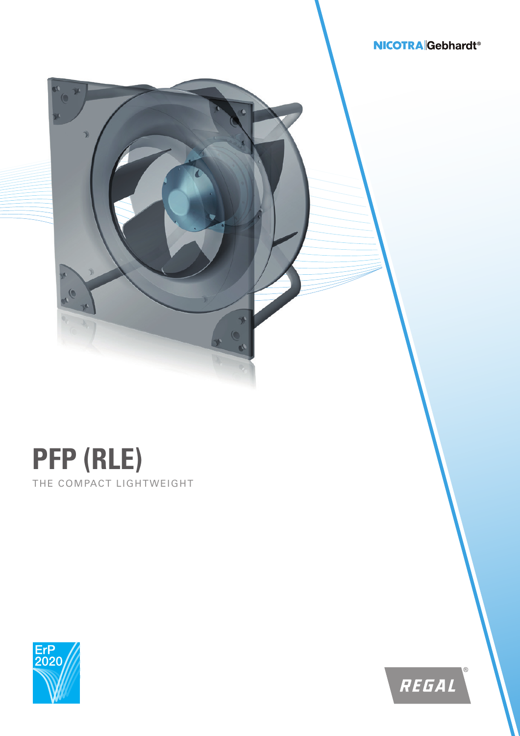## **NICOTRA** Gebhardt<sup>®</sup>



 $\rightarrow$  $\circ$  $\triangle$ 

 $\sqrt[n]{\frac{1}{n}}$ 

 $\overline{\mathcal{O}}$ 

 $\hat{\mathcal{V}}$ 



REGAL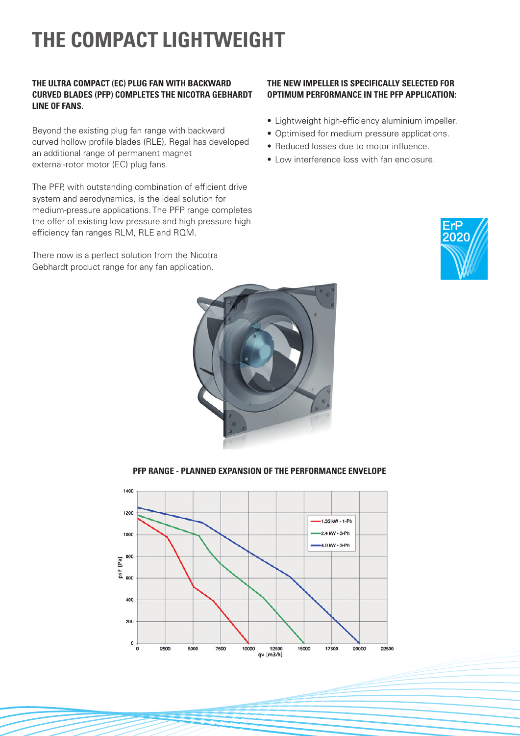## **THE COMPACT LIGHTWEIGHT**

### **THE ULTRA COMPACT (EC) PLUG FAN WITH BACKWARD CURVED BLADES (PFP) COMPLETES THE NICOTRA GEBHARDT LINE OF FANS.**

Beyond the existing plug fan range with backward curved hollow profile blades (RLE), Regal has developed an additional range of permanent magnet external-rotor motor (EC) plug fans.

The PFP, with outstanding combination of efficient drive system and aerodynamics, is the ideal solution for medium-pressure applications. The PFP range completes the offer of existing low pressure and high pressure high efficiency fan ranges RLM, RLE and RQM.

There now is a perfect solution from the Nicotra Gebhardt product range for any fan application.

### **THE NEW IMPELLER IS SPECIFICALLY SELECTED FOR OPTIMUM PERFORMANCE IN THE PFP APPLICATION:**

- Lightweight high-efficiency aluminium impeller.
- Optimised for medium pressure applications.
- Reduced losses due to motor influence.
- Low interference loss with fan enclosure.







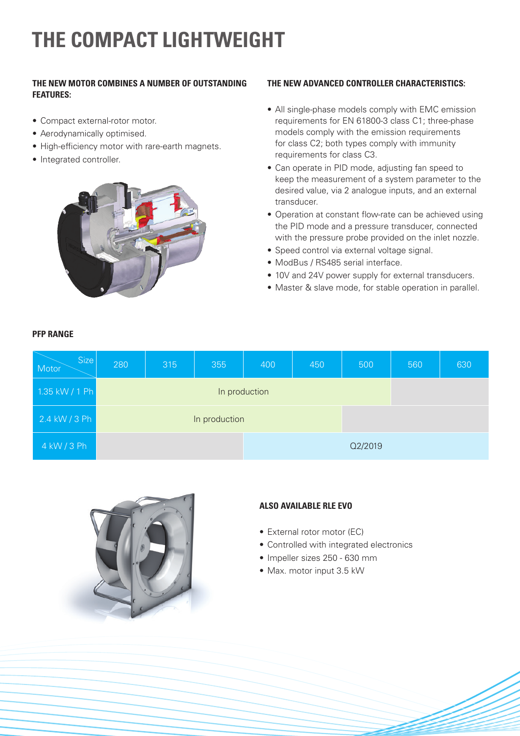# **THE COMPACT LIGHTWEIGHT**

## **THE NEW MOTOR COMBINES A NUMBER OF OUTSTANDING FEATURES:**

- Compact external-rotor motor.
- Aerodynamically optimised.
- High-efficiency motor with rare-earth magnets.
- Integrated controller.

**PFP RANGE**



## **THE NEW ADVANCED CONTROLLER CHARACTERISTICS:**

- All single-phase models comply with EMC emission requirements for EN 61800-3 class C1; three-phase models comply with the emission requirements for class C2; both types comply with immunity requirements for class C3.
- Can operate in PID mode, adjusting fan speed to keep the measurement of a system parameter to the desired value, via 2 analogue inputs, and an external transducer.
- Operation at constant flow-rate can be achieved using the PID mode and a pressure transducer, connected with the pressure probe provided on the inlet nozzle.
- Speed control via external voltage signal.
- ModBus / RS485 serial interface.
- 10V and 24V power supply for external transducers.
- Master & slave mode, for stable operation in parallel.

| <b>Size</b><br>Motor | 280           | 315 | 355 | 400 | 450 | 500     | 560 | 630 |
|----------------------|---------------|-----|-----|-----|-----|---------|-----|-----|
| $1.35$ kW / 1 Ph     | In production |     |     |     |     |         |     |     |
| $2.4$ kW / 3 Ph      | In production |     |     |     |     |         |     |     |
| 4 kW / 3 Ph          |               |     |     |     |     | Q2/2019 |     |     |



## **ALSO AVAILABLE RLE EVO**

- External rotor motor (EC)
- Controlled with integrated electronics
- Impeller sizes 250 630 mm
- Max. motor input 3.5 kW